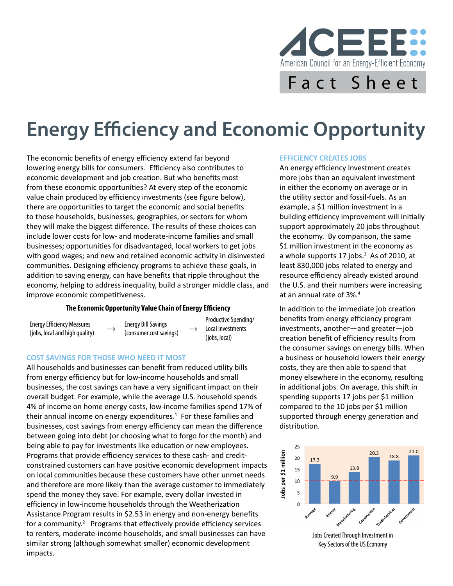

# **Energy Efficiency and Economic Opportunity**

The economic benefits of energy efficiency extend far beyond lowering energy bills for consumers. Efficiency also contributes to economic development and job creation. But who benefits most from these economic opportunities? At every step of the economic value chain produced by efficiency investments (see figure below), there are opportunities to target the economic and social benefits to those households, businesses, geographies, or sectors for whom they will make the biggest difference. The results of these choices can include lower costs for low- and moderate-income families and small businesses; opportunities for disadvantaged, local workers to get jobs with good wages; and new and retained economic activity in disinvested communities. Designing efficiency programs to achieve these goals, in addition to saving energy, can have benefits that ripple throughout the economy, helping to address inequality, build a stronger middle class, and improve economic competitiveness.

#### **The Economic Opportunity Value Chain of Energy Efficiency**

Energy Efficiency Measures  $($ inergy Efficiency Measures  $($ iobs, local and high quality)  $\rightarrow$   $($ consumer cost sav

(consumer cost savings)

Productive Spending/ Local Investments (jobs, local)

#### **COST SAVINGS FOR THOSE WHO NEED IT MOST**

All households and businesses can benefit from reduced utility bills from energy efficiency but for low-income households and small businesses, the cost savings can have a very significant impact on their overall budget. For example, while the average U.S. household spends 4% of income on home energy costs, low-income families spend 17% of their annual income on energy expenditures.<sup>1</sup> For these families and businesses, cost savings from energy efficiency can mean the difference between going into debt (or choosing what to forgo for the month) and being able to pay for investments like education or new employees. Programs that provide efficiency services to these cash- and creditconstrained customers can have positive economic development impacts on local communities because these customers have other unmet needs and therefore are more likely than the average customer to immediately spend the money they save. For example, every dollar invested in efficiency in low-income households through the Weatherization Assistance Program results in \$2.53 in energy and non-energy benefits for a community.<sup>2</sup> Programs that effectively provide efficiency services to renters, moderate-income households, and small businesses can have similar strong (although somewhat smaller) economic development impacts.

#### **EFFICIENCY CREATES JOBS**

An energy efficiency investment creates more jobs than an equivalent investment in either the economy on average or in the utility sector and fossil-fuels. As an example, a \$1 million investment in a building efficiency improvement will initially support approximately 20 jobs throughout the economy. By comparison, the same \$1 million investment in the economy as a whole supports 17 jobs.<sup>3</sup> As of 2010, at least 830,000 jobs related to energy and resource efficiency already existed around the U.S. and their numbers were increasing at an annual rate of 3%.<sup>4</sup>

In addition to the immediate job creation benefits from energy efficiency program investments, another—and greater—job creation benefit of efficiency results from the consumer savings on energy bills. When a business or household lowers their energy costs, they are then able to spend that money elsewhere in the economy, resulting in additional jobs. On average, this shift in spending supports 17 jobs per \$1 million compared to the 10 jobs per \$1 million supported through energy generation and distribution.



Key Sectors of the US Economy